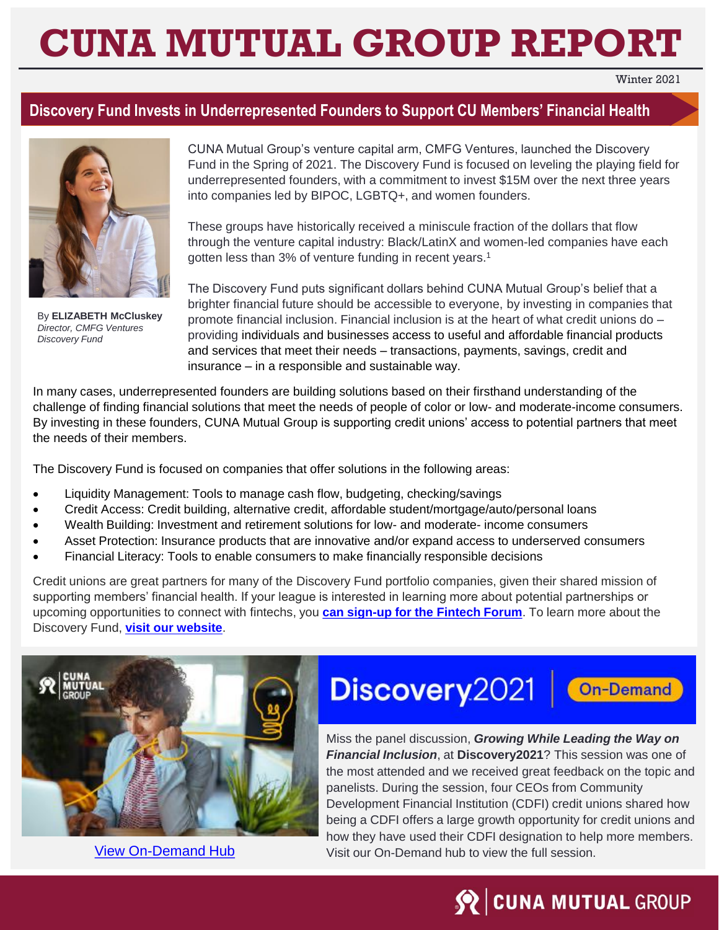# **CUNA MUTUAL GROUP REPORT**

Winter 2021

#### **Discovery Fund Invests in Underrepresented Founders to Support CU Members' Financial Health**



By **ELIZABETH McCluskey** *Director, CMFG Ventures Discovery Fund*

CUNA Mutual Group's venture capital arm, CMFG Ventures, launched the Discovery Fund in the Spring of 2021. The Discovery Fund is focused on leveling the playing field for underrepresented founders, with a commitment to invest \$15M over the next three years into companies led by BIPOC, LGBTQ+, and women founders.

These groups have historically received a miniscule fraction of the dollars that flow through the venture capital industry: Black/LatinX and women-led companies have each gotten less than 3% of venture funding in recent years.<sup>1</sup>

The Discovery Fund puts significant dollars behind CUNA Mutual Group's belief that a brighter financial future should be accessible to everyone, by investing in companies that promote financial inclusion. Financial inclusion is at the heart of what credit unions do – providing individuals and businesses access to useful and affordable financial products and services that meet their needs – transactions, payments, savings, credit and insurance – in a responsible and sustainable way.

In many cases, underrepresented founders are building solutions based on their firsthand understanding of the challenge of finding financial solutions that meet the needs of people of color or low- and moderate-income consumers. By investing in these founders, CUNA Mutual Group is supporting credit unions' access to potential partners that meet the needs of their members.

The Discovery Fund is focused on companies that offer solutions in the following areas:

- Liquidity Management: Tools to manage cash flow, budgeting, checking/savings
- Credit Access: Credit building, alternative credit, affordable student/mortgage/auto/personal loans
- Wealth Building: Investment and retirement solutions for low- and moderate- income consumers
- Asset Protection: Insurance products that are innovative and/or expand access to underserved consumers
- Financial Literacy: Tools to enable consumers to make financially responsible decisions

Credit unions are great partners for many of the Discovery Fund portfolio companies, given their shared mission of supporting members' financial health. If your league is interested in learning more about potential partnerships or upcoming opportunities to connect with fintechs, you **[can sign-up for the Fintech Forum](https://forms.office.com/r/nLXuQuDBkk)**. To learn more about the Discovery Fund, **[visit our website](http://www.cmfgventures.com/discovery-fund)**.



## Discovery 2021

On-Demand

Miss the panel discussion, *Growing While Leading the Way on Financial Inclusion*, at **Discovery2021**? This session was one of the most attended and we received great feedback on the topic and panelists. During the session, four CEOs from Community Development Financial Institution (CDFI) credit unions shared how being a CDFI offers a large growth opportunity for credit unions and how they have used their CDFI designation to help more members. [View On-Demand Hub](https://www.cunamutual.com/Events/discovery-conference/post-discovery2021?utm_source=cunamutual&utm_medium=email&utm_campaign=discovery&utm_content=winter-league-cu-report) Visit our On-Demand hub to view the full session.